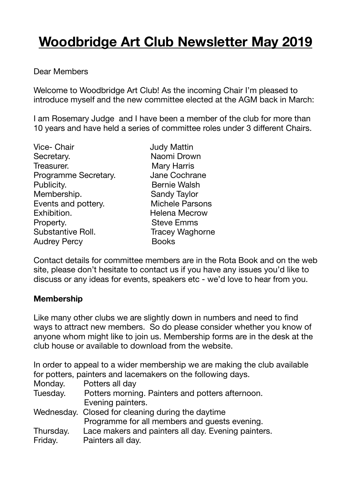# **Woodbridge Art Club Newsletter May 2019**

### Dear Members

Welcome to Woodbridge Art Club! As the incoming Chair I'm pleased to introduce myself and the new committee elected at the AGM back in March:

I am Rosemary Judge and I have been a member of the club for more than 10 years and have held a series of committee roles under 3 different Chairs.

| <b>Vice- Chair</b>   |
|----------------------|
| Secretary.           |
| Treasurer.           |
| Programme Secretary. |
| Publicity.           |
| Membership.          |
| Events and pottery.  |
| Exhibition.          |
| Property.            |
| Substantive Roll.    |
| <b>Audrey Percy</b>  |

**Judy Mattin** Naomi Drown Mary Harris Jane Cochrane **Bernie Walsh** Sandy Taylor Michele Parsons Helena Mecrow **Steve Emms Tracey Waghorne Books** 

Contact details for committee members are in the Rota Book and on the web site, please don't hesitate to contact us if you have any issues you'd like to discuss or any ideas for events, speakers etc - we'd love to hear from you.

#### **Membership**

Like many other clubs we are slightly down in numbers and need to find ways to attract new members. So do please consider whether you know of anyone whom might like to join us. Membership forms are in the desk at the club house or available to download from the website.

In order to appeal to a wider membership we are making the club available for potters, painters and lacemakers on the following days.

| Monday.   | Potters all day                                     |
|-----------|-----------------------------------------------------|
| Tuesday.  | Potters morning. Painters and potters afternoon.    |
|           | Evening painters.                                   |
|           | Wednesday. Closed for cleaning during the daytime   |
|           | Programme for all members and guests evening.       |
| Thursday. | Lace makers and painters all day. Evening painters. |
| Friday.   | Painters all day.                                   |
|           |                                                     |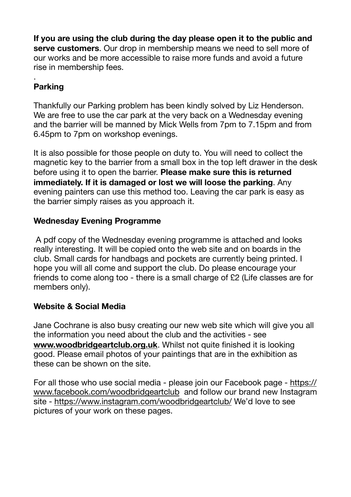**If you are using the club during the day please open it to the public and serve customers**. Our drop in membership means we need to sell more of our works and be more accessible to raise more funds and avoid a future rise in membership fees.

## . **Parking**

Thankfully our Parking problem has been kindly solved by Liz Henderson. We are free to use the car park at the very back on a Wednesday evening and the barrier will be manned by Mick Wells from 7pm to 7.15pm and from 6.45pm to 7pm on workshop evenings.

It is also possible for those people on duty to. You will need to collect the magnetic key to the barrier from a small box in the top left drawer in the desk before using it to open the barrier. **Please make sure this is returned immediately. If it is damaged or lost we will loose the parking**. Any evening painters can use this method too. Leaving the car park is easy as the barrier simply raises as you approach it.

# **Wednesday Evening Programme**

 A pdf copy of the Wednesday evening programme is attached and looks really interesting. It will be copied onto the web site and on boards in the club. Small cards for handbags and pockets are currently being printed. I hope you will all come and support the club. Do please encourage your friends to come along too - there is a small charge of £2 (Life classes are for members only).

## **Website & Social Media**

Jane Cochrane is also busy creating our new web site which will give you all the information you need about the club and the activities - see **[www.woodbridgeartclub.org.uk](http://www.woodbridgeartclub.org.uk)**. Whilst not quite finished it is looking good. Please email photos of your paintings that are in the exhibition as these can be shown on the site.

For all those who use social media - please join our Facebook page - [https://](https://www.facebook.com/woodbridgeartclub) [www.facebook.com/woodbridgeartclub](https://www.facebook.com/woodbridgeartclub) and follow our brand new Instagram site -<https://www.instagram.com/woodbridgeartclub/> We'd love to see pictures of your work on these pages.